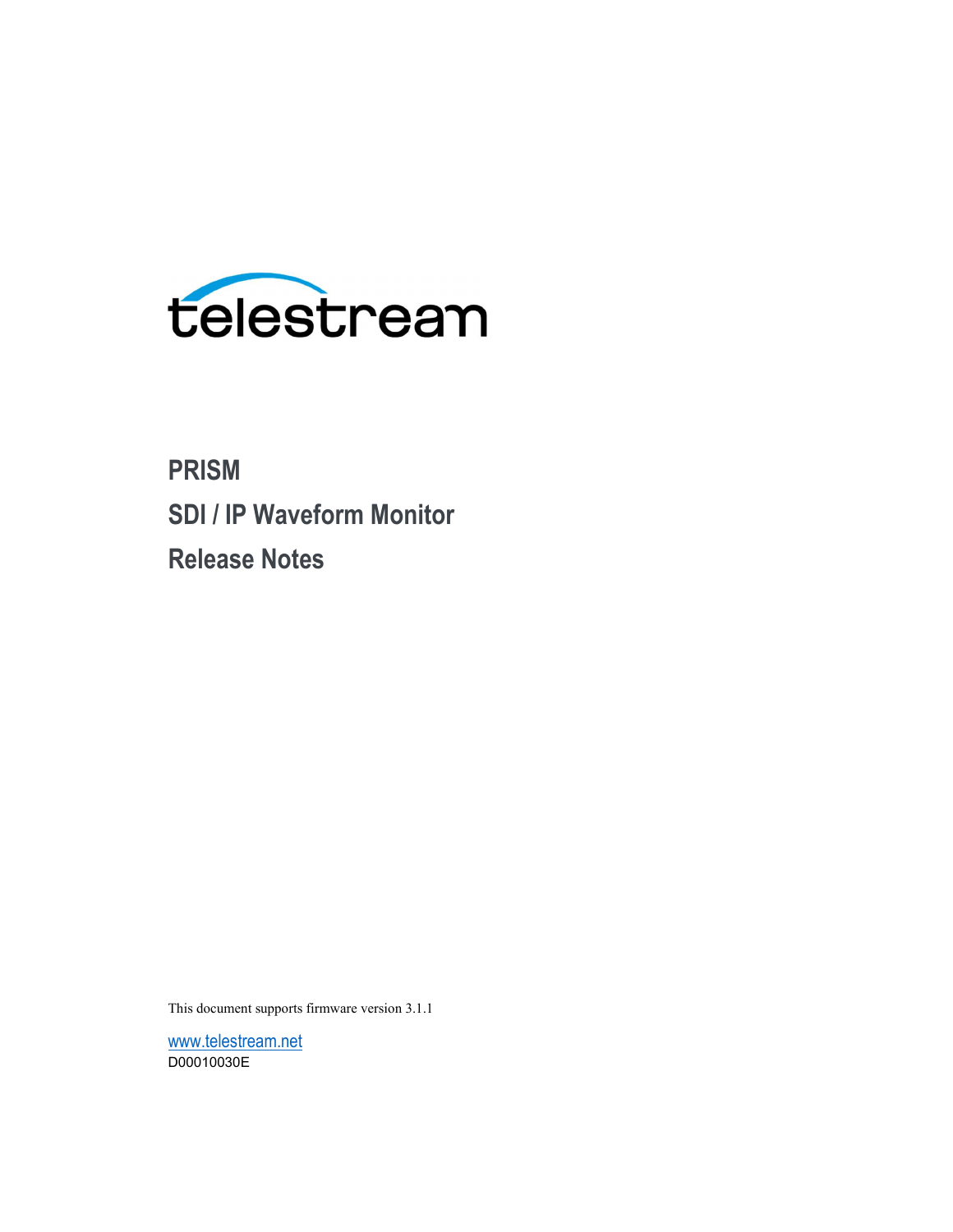

# PRISM SDI / IP Waveform Monitor Release Notes

This document supports firmware version 3.1.1

www.telestream.net D00010030E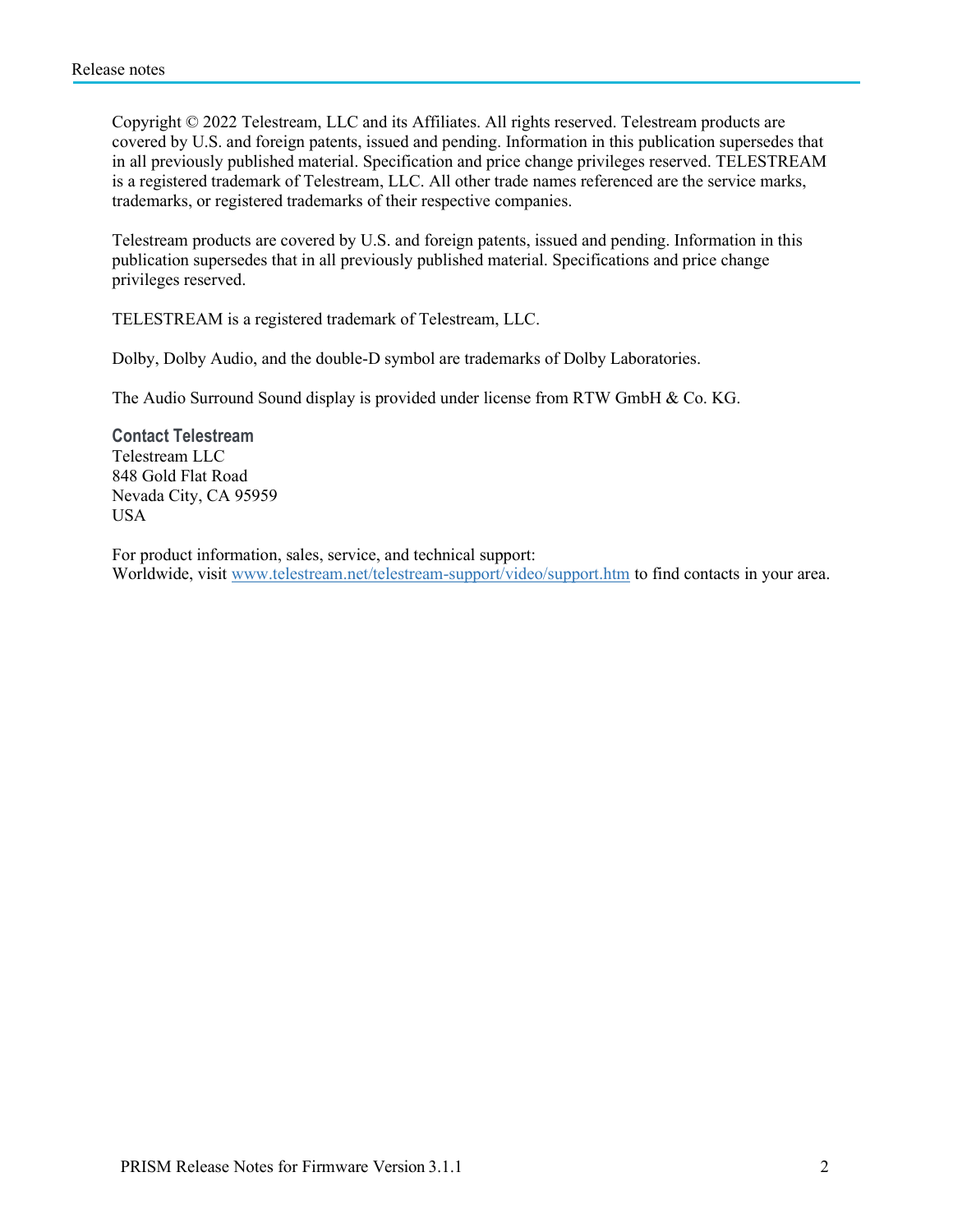Copyright © 2022 Telestream, LLC and its Affiliates. All rights reserved. Telestream products are covered by U.S. and foreign patents, issued and pending. Information in this publication supersedes that in all previously published material. Specification and price change privileges reserved. TELESTREAM is a registered trademark of Telestream, LLC. All other trade names referenced are the service marks, trademarks, or registered trademarks of their respective companies.

Telestream products are covered by U.S. and foreign patents, issued and pending. Information in this publication supersedes that in all previously published material. Specifications and price change privileges reserved.

TELESTREAM is a registered trademark of Telestream, LLC.

Dolby, Dolby Audio, and the double-D symbol are trademarks of Dolby Laboratories.

The Audio Surround Sound display is provided under license from RTW GmbH & Co. KG.

Contact Telestream Telestream LLC 848 Gold Flat Road Nevada City, CA 95959 USA

For product information, sales, service, and technical support: Worldwide, visit www.telestream.net/telestream-support/video/support.htm to find contacts in your area.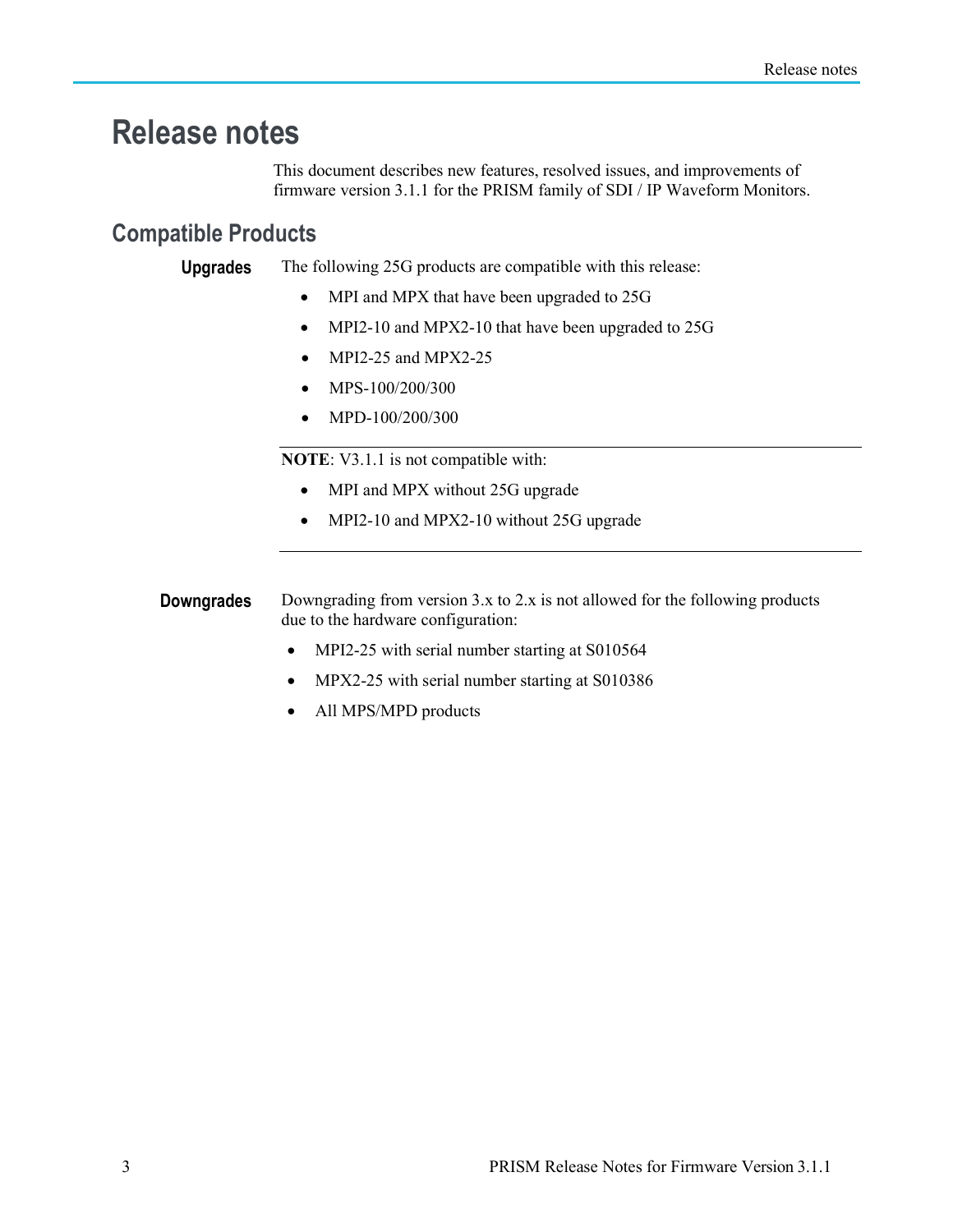## Release notes

This document describes new features, resolved issues, and improvements of firmware version 3.1.1 for the PRISM family of SDI / IP Waveform Monitors.

### Compatible Products

**Upgrades** The following 25G products are compatible with this release:

- MPI and MPX that have been upgraded to 25G
- MPI2-10 and MPX2-10 that have been upgraded to 25G
- MPI2-25 and MPX2-25
- $\bullet$  MPS-100/200/300
- MPD-100/200/300

NOTE: V3.1.1 is not compatible with:

- MPI and MPX without 25G upgrade
- MPI2-10 and MPX2-10 without 25G upgrade

**Downgrades** Downgrading from version 3.x to 2.x is not allowed for the following products due to the hardware configuration:

- MPI2-25 with serial number starting at S010564
- MPX2-25 with serial number starting at S010386
- All MPS/MPD products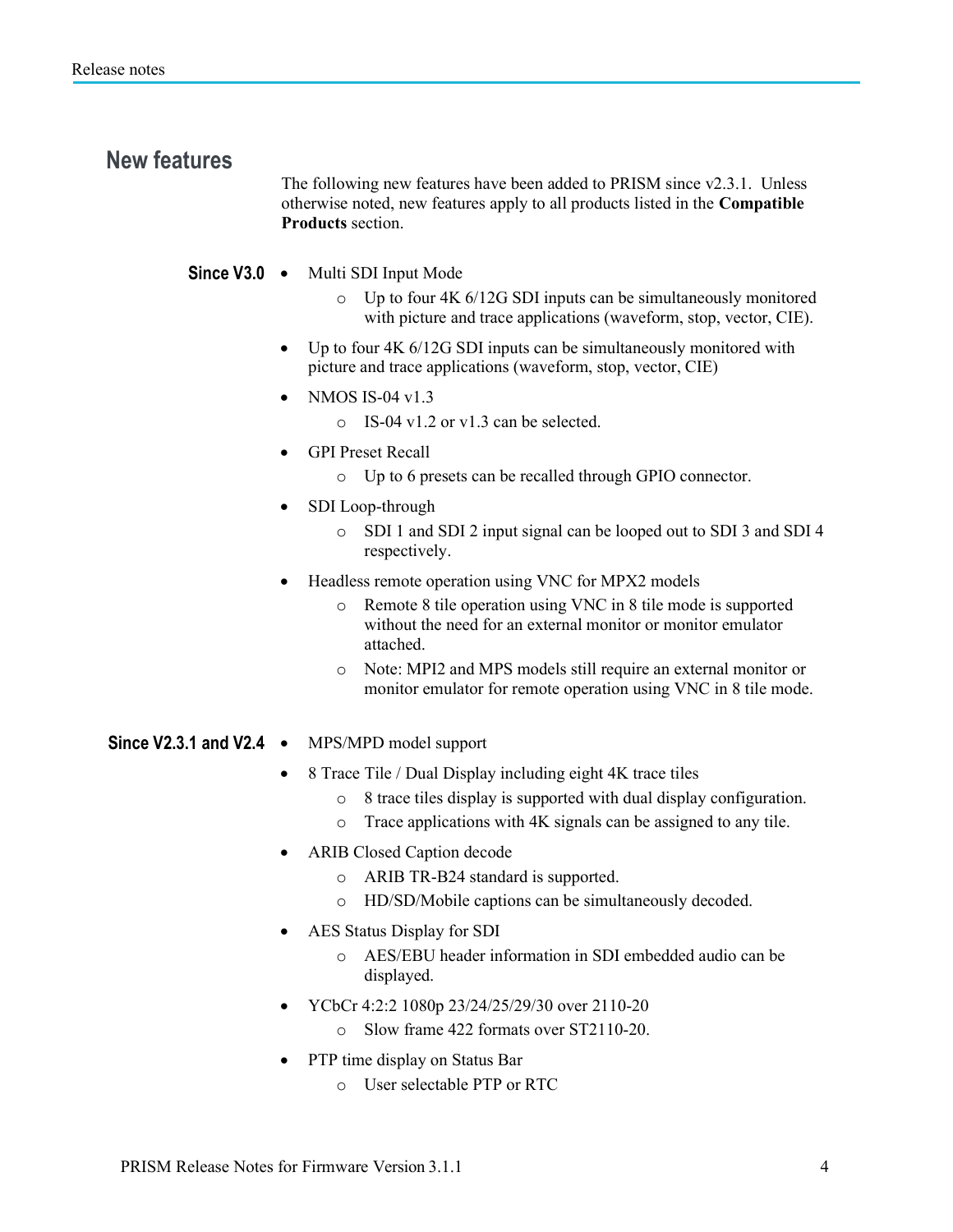## New features

The following new features have been added to PRISM since v2.3.1. Unless otherwise noted, new features apply to all products listed in the Compatible Products section.

#### Since V3.0 . Multi SDI Input Mode

- o Up to four 4K 6/12G SDI inputs can be simultaneously monitored with picture and trace applications (waveform, stop, vector, CIE).
- Up to four 4K 6/12G SDI inputs can be simultaneously monitored with picture and trace applications (waveform, stop, vector, CIE)
- NMOS IS-04  $v1.3$ 
	- o IS-04 v1.2 or v1.3 can be selected.
- GPI Preset Recall
	- o Up to 6 presets can be recalled through GPIO connector.
- SDI Loop-through
	- o SDI 1 and SDI 2 input signal can be looped out to SDI 3 and SDI 4 respectively.
- Headless remote operation using VNC for MPX2 models
	- o Remote 8 tile operation using VNC in 8 tile mode is supported without the need for an external monitor or monitor emulator attached.
	- o Note: MPI2 and MPS models still require an external monitor or monitor emulator for remote operation using VNC in 8 tile mode.

#### Since V2.3.1 and V2.4 • MPS/MPD model support

- 8 Trace Tile / Dual Display including eight 4K trace tiles
	- o 8 trace tiles display is supported with dual display configuration.
	- o Trace applications with 4K signals can be assigned to any tile.
- ARIB Closed Caption decode
	- o ARIB TR-B24 standard is supported.
	- o HD/SD/Mobile captions can be simultaneously decoded.
- AES Status Display for SDI
	- o AES/EBU header information in SDI embedded audio can be displayed.
- YCbCr 4:2:2 1080p 23/24/25/29/30 over 2110-20
	- o Slow frame 422 formats over ST2110-20.
- PTP time display on Status Bar
	- o User selectable PTP or RTC